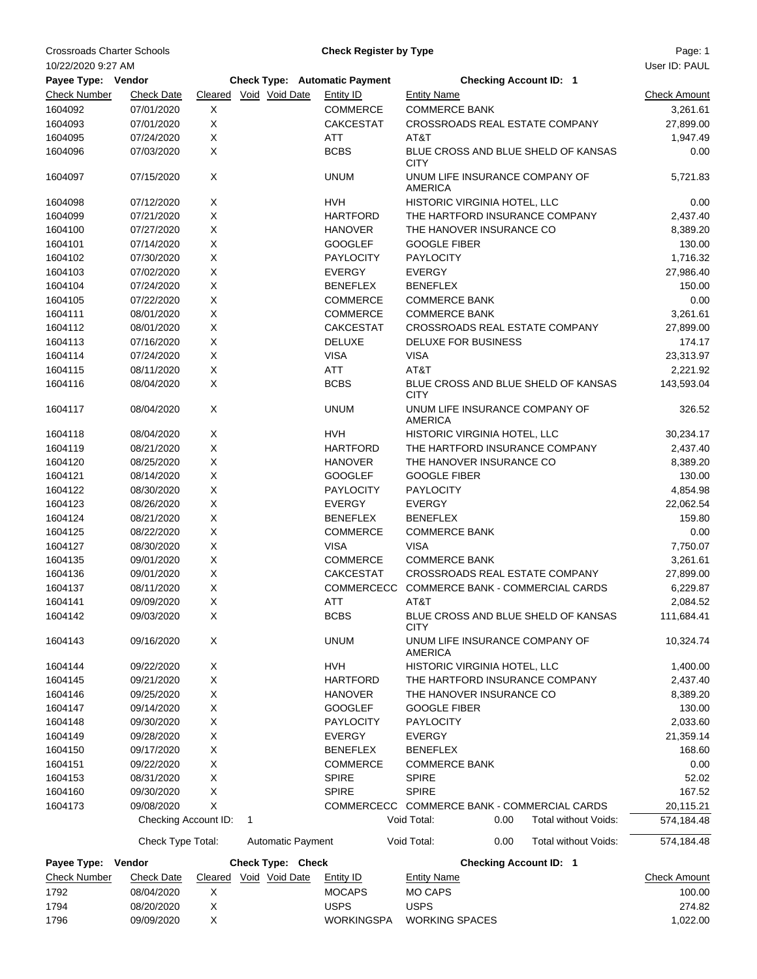Crossroads Charter Schools **Charter Schools** Charter **Check Register by Type** Page: 1

**Check Register by Type**

| 10/22/2020 9:27 AM  |                      |             |                                      |                   |                                                  |                                     | User ID: PAUL       |
|---------------------|----------------------|-------------|--------------------------------------|-------------------|--------------------------------------------------|-------------------------------------|---------------------|
| Payee Type: Vendor  |                      |             | <b>Check Type: Automatic Payment</b> |                   | <b>Checking Account ID: 1</b>                    |                                     |                     |
| <b>Check Number</b> | <b>Check Date</b>    |             | Cleared Void Void Date               | Entity ID         | <b>Entity Name</b>                               |                                     | <b>Check Amount</b> |
| 1604092             | 07/01/2020           | X           |                                      | <b>COMMERCE</b>   | <b>COMMERCE BANK</b>                             |                                     | 3,261.61            |
| 1604093             | 07/01/2020           | X           |                                      | <b>CAKCESTAT</b>  | CROSSROADS REAL ESTATE COMPANY                   |                                     | 27,899.00           |
| 1604095             | 07/24/2020           | Χ           |                                      | ATT               | AT&T                                             |                                     | 1,947.49            |
| 1604096             | 07/03/2020           | X           |                                      | <b>BCBS</b>       | <b>CITY</b>                                      | BLUE CROSS AND BLUE SHELD OF KANSAS | 0.00                |
| 1604097             | 07/15/2020           | X           |                                      | <b>UNUM</b>       | UNUM LIFE INSURANCE COMPANY OF<br><b>AMERICA</b> |                                     | 5,721.83            |
| 1604098             | 07/12/2020           | X           |                                      | HVH               | HISTORIC VIRGINIA HOTEL, LLC                     |                                     | 0.00                |
| 1604099             | 07/21/2020           | Χ           |                                      | <b>HARTFORD</b>   | THE HARTFORD INSURANCE COMPANY                   |                                     | 2,437.40            |
| 1604100             | 07/27/2020           | X           |                                      | <b>HANOVER</b>    | THE HANOVER INSURANCE CO                         |                                     | 8,389.20            |
| 1604101             | 07/14/2020           | Χ           |                                      | <b>GOOGLEF</b>    | <b>GOOGLE FIBER</b>                              |                                     | 130.00              |
| 1604102             | 07/30/2020           | X           |                                      | <b>PAYLOCITY</b>  | <b>PAYLOCITY</b>                                 |                                     | 1,716.32            |
| 1604103             | 07/02/2020           | Χ           |                                      | <b>EVERGY</b>     | <b>EVERGY</b>                                    |                                     | 27,986.40           |
| 1604104             | 07/24/2020           | Χ           |                                      | <b>BENEFLEX</b>   | <b>BENEFLEX</b>                                  |                                     | 150.00              |
| 1604105             | 07/22/2020           | X           |                                      | <b>COMMERCE</b>   | <b>COMMERCE BANK</b>                             |                                     | 0.00                |
| 1604111             | 08/01/2020           | Χ           |                                      | <b>COMMERCE</b>   | <b>COMMERCE BANK</b>                             |                                     | 3,261.61            |
| 1604112             | 08/01/2020           | Χ           |                                      | <b>CAKCESTAT</b>  | CROSSROADS REAL ESTATE COMPANY                   |                                     | 27,899.00           |
| 1604113             | 07/16/2020           | Χ           |                                      | DELUXE            | DELUXE FOR BUSINESS                              |                                     | 174.17              |
| 1604114             | 07/24/2020           | X           |                                      | <b>VISA</b>       | <b>VISA</b>                                      |                                     | 23,313.97           |
| 1604115             | 08/11/2020           | Χ           |                                      | ATT               | AT&T                                             |                                     | 2,221.92            |
| 1604116             | 08/04/2020           | X           |                                      | <b>BCBS</b>       | <b>CITY</b>                                      | BLUE CROSS AND BLUE SHELD OF KANSAS | 143,593.04          |
| 1604117             | 08/04/2020           | X           |                                      | <b>UNUM</b>       | UNUM LIFE INSURANCE COMPANY OF<br><b>AMERICA</b> |                                     | 326.52              |
| 1604118             | 08/04/2020           | X           |                                      | <b>HVH</b>        | HISTORIC VIRGINIA HOTEL, LLC                     |                                     | 30,234.17           |
| 1604119             | 08/21/2020           | X           |                                      | <b>HARTFORD</b>   | THE HARTFORD INSURANCE COMPANY                   |                                     | 2,437.40            |
| 1604120             | 08/25/2020           | X           |                                      | <b>HANOVER</b>    | THE HANOVER INSURANCE CO                         |                                     | 8,389.20            |
| 1604121             | 08/14/2020           | Χ           |                                      | <b>GOOGLEF</b>    | <b>GOOGLE FIBER</b>                              |                                     | 130.00              |
| 1604122             | 08/30/2020           | Χ           |                                      | <b>PAYLOCITY</b>  | <b>PAYLOCITY</b>                                 |                                     | 4,854.98            |
| 1604123             | 08/26/2020           | X           |                                      | <b>EVERGY</b>     | <b>EVERGY</b>                                    |                                     | 22,062.54           |
| 1604124             | 08/21/2020           | Χ           |                                      | <b>BENEFLEX</b>   | <b>BENEFLEX</b>                                  |                                     | 159.80              |
| 1604125             | 08/22/2020           | Χ           |                                      | <b>COMMERCE</b>   | <b>COMMERCE BANK</b>                             |                                     | 0.00                |
| 1604127             | 08/30/2020           | Χ           |                                      | <b>VISA</b>       | <b>VISA</b>                                      |                                     | 7,750.07            |
| 1604135             | 09/01/2020           | X           |                                      | <b>COMMERCE</b>   | <b>COMMERCE BANK</b>                             |                                     | 3,261.61            |
| 1604136             | 09/01/2020           | X           |                                      | <b>CAKCESTAT</b>  | CROSSROADS REAL ESTATE COMPANY                   |                                     | 27,899.00           |
| 1604137             | 08/11/2020           | X           |                                      | <b>COMMERCECC</b> |                                                  | COMMERCE BANK - COMMERCIAL CARDS    | 6,229.87            |
| 1604141             | 09/09/2020           | X           |                                      | <b>ATT</b>        | AT&T                                             |                                     | 2,084.52            |
| 1604142             | 09/03/2020           | $\mathsf X$ |                                      | <b>BCBS</b>       | <b>CITY</b>                                      | BLUE CROSS AND BLUE SHELD OF KANSAS | 111,684.41          |
| 1604143             | 09/16/2020           | X           |                                      | <b>UNUM</b>       | UNUM LIFE INSURANCE COMPANY OF<br>AMERICA        |                                     | 10,324.74           |
| 1604144             | 09/22/2020           | X           |                                      | <b>HVH</b>        | HISTORIC VIRGINIA HOTEL, LLC                     |                                     | 1,400.00            |
| 1604145             | 09/21/2020           | X           |                                      | <b>HARTFORD</b>   | THE HARTFORD INSURANCE COMPANY                   |                                     | 2,437.40            |
| 1604146             | 09/25/2020           | X           |                                      | <b>HANOVER</b>    | THE HANOVER INSURANCE CO                         |                                     | 8,389.20            |
| 1604147             | 09/14/2020           | X           |                                      | <b>GOOGLEF</b>    | <b>GOOGLE FIBER</b>                              |                                     | 130.00              |
| 1604148             | 09/30/2020           | X           |                                      | <b>PAYLOCITY</b>  | <b>PAYLOCITY</b>                                 |                                     | 2,033.60            |
| 1604149             | 09/28/2020           | X           |                                      | <b>EVERGY</b>     | <b>EVERGY</b>                                    |                                     | 21,359.14           |
| 1604150             | 09/17/2020           | X           |                                      | <b>BENEFLEX</b>   | <b>BENEFLEX</b>                                  |                                     | 168.60              |
| 1604151             | 09/22/2020           | Χ           |                                      | COMMERCE          | <b>COMMERCE BANK</b>                             |                                     | 0.00                |
| 1604153             | 08/31/2020           | Χ           |                                      | <b>SPIRE</b>      | <b>SPIRE</b>                                     |                                     | 52.02               |
| 1604160             | 09/30/2020           | X           |                                      | <b>SPIRE</b>      | <b>SPIRE</b>                                     |                                     | 167.52              |
| 1604173             | 09/08/2020           | X           |                                      |                   | COMMERCECC COMMERCE BANK - COMMERCIAL CARDS      |                                     | 20,115.21           |
|                     | Checking Account ID: |             | 1                                    |                   | Void Total:                                      | 0.00<br>Total without Voids:        | 574,184.48          |
|                     | Check Type Total:    |             | <b>Automatic Payment</b>             |                   | Void Total:                                      | 0.00<br>Total without Voids:        | 574,184.48          |
| Payee Type: Vendor  |                      |             | Check Type: Check                    |                   |                                                  | <b>Checking Account ID: 1</b>       |                     |
| <b>Check Number</b> | <b>Check Date</b>    |             | Cleared Void Void Date               | <b>Entity ID</b>  | <b>Entity Name</b>                               |                                     | <b>Check Amount</b> |
| 1792                | 08/04/2020           | X           |                                      | <b>MOCAPS</b>     | <b>MO CAPS</b>                                   |                                     | 100.00              |
| 1794                | 08/20/2020           | Χ           |                                      | <b>USPS</b>       | <b>USPS</b>                                      |                                     | 274.82              |
| 1796                | 09/09/2020           | X           |                                      | <b>WORKINGSPA</b> | <b>WORKING SPACES</b>                            |                                     | 1,022.00            |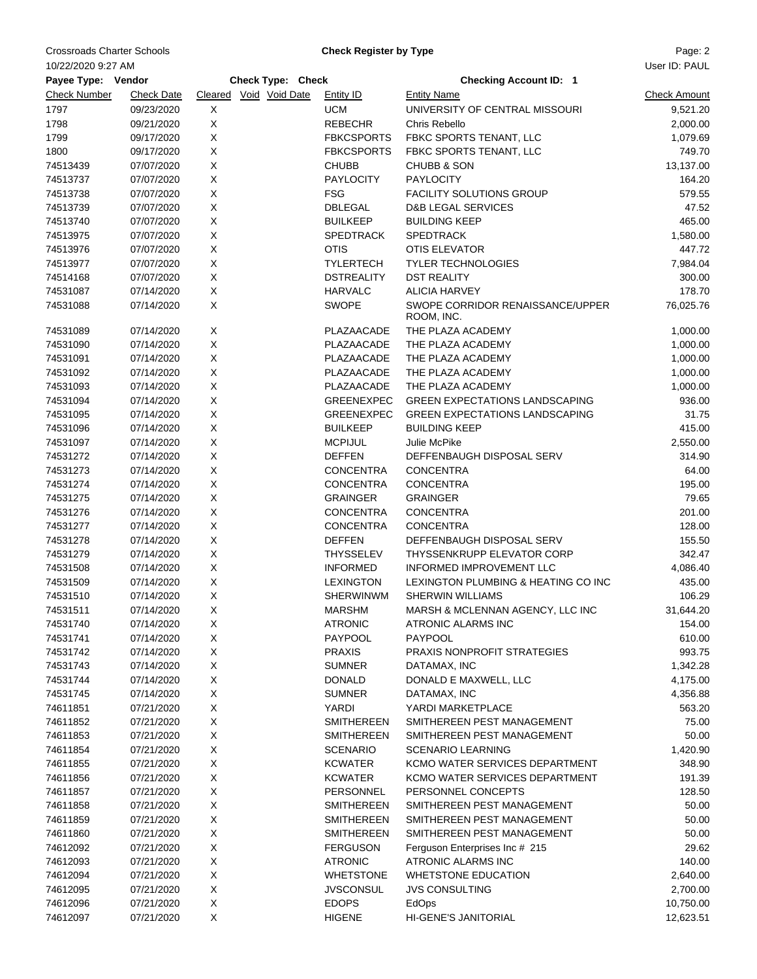Crossroads Charter Schools **Charter Schools** Charter Actual Check Register by Type **Page: 2** Page: 2

**Check Register by Type**

| User ID: PAUL<br>10/22/2020 9:27 AM |                   |                   |                        |  |                   |                                       |                     |  |
|-------------------------------------|-------------------|-------------------|------------------------|--|-------------------|---------------------------------------|---------------------|--|
| Payee Type: Vendor                  |                   | Check Type: Check |                        |  |                   | <b>Checking Account ID: 1</b>         |                     |  |
| <b>Check Number</b>                 | <b>Check Date</b> |                   | Cleared Void Void Date |  | <b>Entity ID</b>  | <b>Entity Name</b>                    | <b>Check Amount</b> |  |
| 1797                                | 09/23/2020        | X                 |                        |  | <b>UCM</b>        | UNIVERSITY OF CENTRAL MISSOURI        | 9,521.20            |  |
| 1798                                | 09/21/2020        | X                 |                        |  | <b>REBECHR</b>    | Chris Rebello                         | 2,000.00            |  |
| 1799                                | 09/17/2020        | X                 |                        |  | <b>FBKCSPORTS</b> | FBKC SPORTS TENANT, LLC               | 1,079.69            |  |
| 1800                                | 09/17/2020        | X                 |                        |  | <b>FBKCSPORTS</b> | FBKC SPORTS TENANT, LLC               | 749.70              |  |
| 74513439                            | 07/07/2020        | X                 |                        |  | <b>CHUBB</b>      | <b>CHUBB &amp; SON</b>                | 13,137.00           |  |
| 74513737                            | 07/07/2020        | X                 |                        |  | <b>PAYLOCITY</b>  | <b>PAYLOCITY</b>                      | 164.20              |  |
| 74513738                            | 07/07/2020        | $\mathsf X$       |                        |  | <b>FSG</b>        | <b>FACILITY SOLUTIONS GROUP</b>       | 579.55              |  |
| 74513739                            | 07/07/2020        | X                 |                        |  | <b>DBLEGAL</b>    | <b>D&amp;B LEGAL SERVICES</b>         | 47.52               |  |
| 74513740                            | 07/07/2020        | X                 |                        |  | <b>BUILKEEP</b>   | <b>BUILDING KEEP</b>                  | 465.00              |  |
| 74513975                            | 07/07/2020        | X                 |                        |  | <b>SPEDTRACK</b>  | <b>SPEDTRACK</b>                      | 1,580.00            |  |
| 74513976                            | 07/07/2020        | X                 |                        |  | <b>OTIS</b>       | <b>OTIS ELEVATOR</b>                  | 447.72              |  |
| 74513977                            | 07/07/2020        | X                 |                        |  | <b>TYLERTECH</b>  | <b>TYLER TECHNOLOGIES</b>             | 7,984.04            |  |
| 74514168                            | 07/07/2020        | X                 |                        |  | <b>DSTREALITY</b> | <b>DST REALITY</b>                    | 300.00              |  |
| 74531087                            | 07/14/2020        | X                 |                        |  | <b>HARVALC</b>    | <b>ALICIA HARVEY</b>                  | 178.70              |  |
| 74531088                            | 07/14/2020        | X                 |                        |  | <b>SWOPE</b>      | SWOPE CORRIDOR RENAISSANCE/UPPER      | 76,025.76           |  |
|                                     |                   |                   |                        |  |                   | ROOM, INC.                            |                     |  |
| 74531089                            | 07/14/2020        | X                 |                        |  | PLAZAACADE        | THE PLAZA ACADEMY                     | 1,000.00            |  |
| 74531090                            | 07/14/2020        | X                 |                        |  | PLAZAACADE        | THE PLAZA ACADEMY                     | 1,000.00            |  |
| 74531091                            | 07/14/2020        | X                 |                        |  | PLAZAACADE        | THE PLAZA ACADEMY                     | 1,000.00            |  |
| 74531092                            | 07/14/2020        | X                 |                        |  | PLAZAACADE        | THE PLAZA ACADEMY                     | 1,000.00            |  |
| 74531093                            | 07/14/2020        | X                 |                        |  | PLAZAACADE        | THE PLAZA ACADEMY                     | 1,000.00            |  |
| 74531094                            | 07/14/2020        | X                 |                        |  | <b>GREENEXPEC</b> | <b>GREEN EXPECTATIONS LANDSCAPING</b> | 936.00              |  |
| 74531095                            | 07/14/2020        | $\mathsf X$       |                        |  | GREENEXPEC        | <b>GREEN EXPECTATIONS LANDSCAPING</b> | 31.75               |  |
| 74531096                            | 07/14/2020        | X                 |                        |  | <b>BUILKEEP</b>   | <b>BUILDING KEEP</b>                  | 415.00              |  |
| 74531097                            | 07/14/2020        | $\mathsf X$       |                        |  | <b>MCPIJUL</b>    | Julie McPike                          | 2,550.00            |  |
| 74531272                            | 07/14/2020        | X                 |                        |  | <b>DEFFEN</b>     | DEFFENBAUGH DISPOSAL SERV             | 314.90              |  |
| 74531273                            | 07/14/2020        | X                 |                        |  | <b>CONCENTRA</b>  | <b>CONCENTRA</b>                      | 64.00               |  |
| 74531274                            | 07/14/2020        | X                 |                        |  | <b>CONCENTRA</b>  | <b>CONCENTRA</b>                      | 195.00              |  |
| 74531275                            | 07/14/2020        | X                 |                        |  | <b>GRAINGER</b>   | <b>GRAINGER</b>                       | 79.65               |  |
| 74531276                            | 07/14/2020        | X                 |                        |  | <b>CONCENTRA</b>  | <b>CONCENTRA</b>                      | 201.00              |  |
| 74531277                            | 07/14/2020        | X                 |                        |  | <b>CONCENTRA</b>  | <b>CONCENTRA</b>                      | 128.00              |  |
| 74531278                            | 07/14/2020        | $\mathsf X$       |                        |  | <b>DEFFEN</b>     | DEFFENBAUGH DISPOSAL SERV             | 155.50              |  |
| 74531279                            | 07/14/2020        | X                 |                        |  | <b>THYSSELEV</b>  | <b>THYSSENKRUPP ELEVATOR CORP</b>     | 342.47              |  |
| 74531508                            | 07/14/2020        | X                 |                        |  | <b>INFORMED</b>   | <b>INFORMED IMPROVEMENT LLC</b>       | 4,086.40            |  |
| 74531509                            | 07/14/2020        | X                 |                        |  | <b>LEXINGTON</b>  | LEXINGTON PLUMBING & HEATING CO INC   | 435.00              |  |
| 74531510                            | 07/14/2020        | X                 |                        |  | <b>SHERWINWM</b>  | <b>SHERWIN WILLIAMS</b>               | 106.29              |  |
| 74531511                            | 07/14/2020        | Χ                 |                        |  | <b>MARSHM</b>     | MARSH & MCLENNAN AGENCY, LLC INC      | 31,644.20           |  |
| 74531740                            | 07/14/2020        | Х                 |                        |  | <b>ATRONIC</b>    | ATRONIC ALARMS INC                    | 154.00              |  |
| 74531741                            | 07/14/2020        | X                 |                        |  | <b>PAYPOOL</b>    | <b>PAYPOOL</b>                        | 610.00              |  |
| 74531742                            | 07/14/2020        | X                 |                        |  | <b>PRAXIS</b>     | <b>PRAXIS NONPROFIT STRATEGIES</b>    | 993.75              |  |
| 74531743                            | 07/14/2020        | X                 |                        |  | <b>SUMNER</b>     | DATAMAX, INC                          | 1,342.28            |  |
| 74531744                            | 07/14/2020        | X                 |                        |  | <b>DONALD</b>     | DONALD E MAXWELL, LLC                 | 4,175.00            |  |
| 74531745                            | 07/14/2020        | X                 |                        |  | <b>SUMNER</b>     | DATAMAX, INC                          | 4,356.88            |  |
| 74611851                            | 07/21/2020        | X                 |                        |  | YARDI             | YARDI MARKETPLACE                     | 563.20              |  |
| 74611852                            | 07/21/2020        | $\mathsf X$       |                        |  | <b>SMITHEREEN</b> | SMITHEREEN PEST MANAGEMENT            | 75.00               |  |
| 74611853                            | 07/21/2020        | X                 |                        |  | SMITHEREEN        | SMITHEREEN PEST MANAGEMENT            | 50.00               |  |
| 74611854                            | 07/21/2020        | X                 |                        |  | <b>SCENARIO</b>   | <b>SCENARIO LEARNING</b>              | 1,420.90            |  |
| 74611855                            | 07/21/2020        | X                 |                        |  | <b>KCWATER</b>    | KCMO WATER SERVICES DEPARTMENT        | 348.90              |  |
| 74611856                            | 07/21/2020        | X                 |                        |  | <b>KCWATER</b>    | KCMO WATER SERVICES DEPARTMENT        | 191.39              |  |
| 74611857                            | 07/21/2020        | X                 |                        |  | <b>PERSONNEL</b>  | PERSONNEL CONCEPTS                    | 128.50              |  |
| 74611858                            | 07/21/2020        | X                 |                        |  | SMITHEREEN        | SMITHEREEN PEST MANAGEMENT            | 50.00               |  |
| 74611859                            | 07/21/2020        | X                 |                        |  | <b>SMITHEREEN</b> | SMITHEREEN PEST MANAGEMENT            | 50.00               |  |
| 74611860                            | 07/21/2020        | $\mathsf X$       |                        |  | SMITHEREEN        | SMITHEREEN PEST MANAGEMENT            | 50.00               |  |
| 74612092                            | 07/21/2020        | $\mathsf X$       |                        |  | <b>FERGUSON</b>   |                                       | 29.62               |  |
| 74612093                            |                   | X                 |                        |  | <b>ATRONIC</b>    | Ferguson Enterprises Inc # 215        | 140.00              |  |
|                                     | 07/21/2020        |                   |                        |  |                   | ATRONIC ALARMS INC                    |                     |  |
| 74612094                            | 07/21/2020        | X                 |                        |  | <b>WHETSTONE</b>  | <b>WHETSTONE EDUCATION</b>            | 2,640.00            |  |
| 74612095                            | 07/21/2020        | $\mathsf X$       |                        |  | <b>JVSCONSUL</b>  | <b>JVS CONSULTING</b>                 | 2,700.00            |  |
| 74612096                            | 07/21/2020        | $\mathsf X$       |                        |  | <b>EDOPS</b>      | EdOps                                 | 10,750.00           |  |
| 74612097                            | 07/21/2020        | X                 |                        |  | <b>HIGENE</b>     | HI-GENE'S JANITORIAL                  | 12,623.51           |  |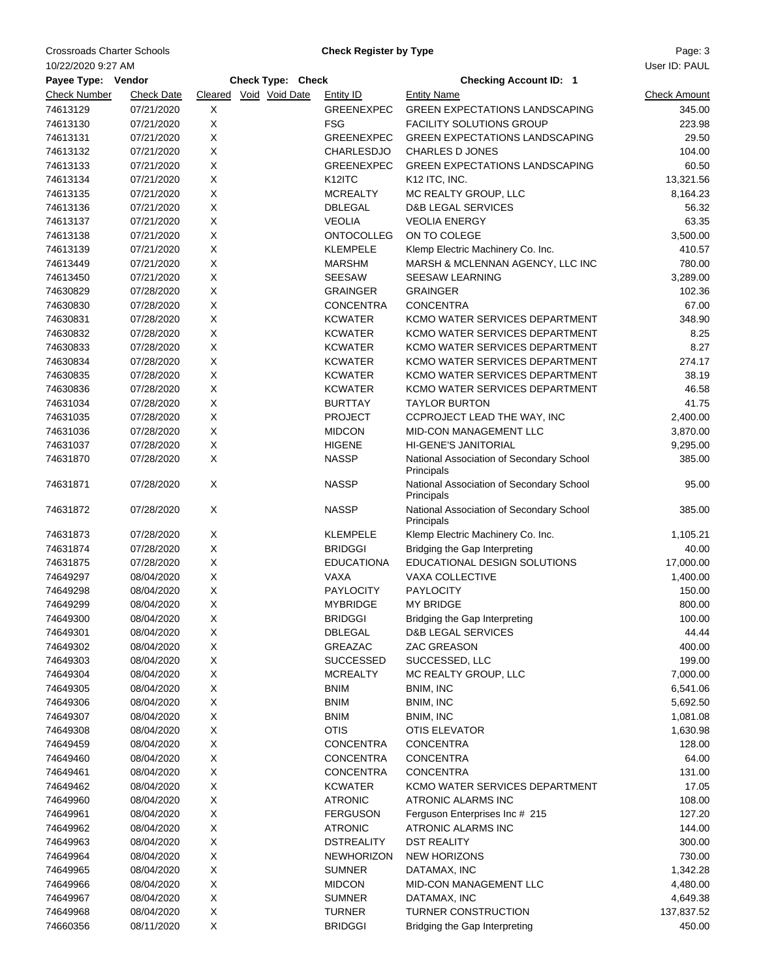Crossroads Charter Schools **Charter Schools** Charter Mage: 3

10/22/2020 9:27 AM

**Check Register by Type**

| Payee Type: Vendor  |                   |   | Check Type: Check      |                     | <b>Checking Account ID: 1</b>                                        |                     |
|---------------------|-------------------|---|------------------------|---------------------|----------------------------------------------------------------------|---------------------|
| <b>Check Number</b> | <b>Check Date</b> |   | Cleared Void Void Date | <b>Entity ID</b>    | <b>Entity Name</b>                                                   | <b>Check Amount</b> |
| 74613129            | 07/21/2020        | X |                        | <b>GREENEXPEC</b>   | <b>GREEN EXPECTATIONS LANDSCAPING</b>                                | 345.00              |
| 74613130            | 07/21/2020        | Χ |                        | <b>FSG</b>          | <b>FACILITY SOLUTIONS GROUP</b>                                      | 223.98              |
| 74613131            | 07/21/2020        | X |                        | <b>GREENEXPEC</b>   | <b>GREEN EXPECTATIONS LANDSCAPING</b>                                | 29.50               |
| 74613132            | 07/21/2020        | X |                        | <b>CHARLESDJO</b>   | <b>CHARLES D JONES</b>                                               | 104.00              |
| 74613133            | 07/21/2020        | X |                        | <b>GREENEXPEC</b>   | <b>GREEN EXPECTATIONS LANDSCAPING</b>                                | 60.50               |
| 74613134            | 07/21/2020        | X |                        | K <sub>12</sub> ITC | K12 ITC, INC.                                                        | 13,321.56           |
| 74613135            | 07/21/2020        | X |                        | <b>MCREALTY</b>     | MC REALTY GROUP, LLC                                                 | 8,164.23            |
| 74613136            | 07/21/2020        | X |                        | <b>DBLEGAL</b>      | <b>D&amp;B LEGAL SERVICES</b>                                        | 56.32               |
| 74613137            | 07/21/2020        | Χ |                        | <b>VEOLIA</b>       | <b>VEOLIA ENERGY</b>                                                 | 63.35               |
| 74613138            | 07/21/2020        | X |                        | <b>ONTOCOLLEG</b>   | ON TO COLEGE                                                         | 3,500.00            |
| 74613139            | 07/21/2020        | X |                        | <b>KLEMPELE</b>     | Klemp Electric Machinery Co. Inc.                                    | 410.57              |
| 74613449            | 07/21/2020        | X |                        | <b>MARSHM</b>       | MARSH & MCLENNAN AGENCY, LLC INC                                     | 780.00              |
| 74613450            | 07/21/2020        | Χ |                        | SEESAW              | <b>SEESAW LEARNING</b>                                               | 3,289.00            |
| 74630829            | 07/28/2020        | X |                        | <b>GRAINGER</b>     | <b>GRAINGER</b>                                                      | 102.36              |
| 74630830            | 07/28/2020        | X |                        | <b>CONCENTRA</b>    | <b>CONCENTRA</b>                                                     | 67.00               |
| 74630831            | 07/28/2020        | X |                        | <b>KCWATER</b>      | KCMO WATER SERVICES DEPARTMENT                                       | 348.90              |
| 74630832            | 07/28/2020        | X |                        | <b>KCWATER</b>      | KCMO WATER SERVICES DEPARTMENT                                       | 8.25                |
| 74630833            | 07/28/2020        | X |                        | <b>KCWATER</b>      | KCMO WATER SERVICES DEPARTMENT                                       | 8.27                |
| 74630834            | 07/28/2020        | X |                        | <b>KCWATER</b>      | KCMO WATER SERVICES DEPARTMENT                                       | 274.17              |
| 74630835            | 07/28/2020        | X |                        | <b>KCWATER</b>      | KCMO WATER SERVICES DEPARTMENT                                       | 38.19               |
| 74630836            | 07/28/2020        | X |                        | <b>KCWATER</b>      | KCMO WATER SERVICES DEPARTMENT                                       | 46.58               |
| 74631034            | 07/28/2020        | Χ |                        | <b>BURTTAY</b>      | <b>TAYLOR BURTON</b>                                                 | 41.75               |
| 74631035            | 07/28/2020        | X |                        | <b>PROJECT</b>      | CCPROJECT LEAD THE WAY, INC                                          | 2,400.00            |
| 74631036            | 07/28/2020        | X |                        | <b>MIDCON</b>       | MID-CON MANAGEMENT LLC                                               | 3,870.00            |
| 74631037            | 07/28/2020        | X |                        | <b>HIGENE</b>       | HI-GENE'S JANITORIAL                                                 | 9,295.00            |
| 74631870            | 07/28/2020        | X |                        | <b>NASSP</b>        | National Association of Secondary School                             | 385.00              |
| 74631871            | 07/28/2020        | X |                        | <b>NASSP</b>        | Principals<br>National Association of Secondary School<br>Principals | 95.00               |
| 74631872            | 07/28/2020        | X |                        | <b>NASSP</b>        | National Association of Secondary School<br>Principals               | 385.00              |
| 74631873            | 07/28/2020        | X |                        | <b>KLEMPELE</b>     | Klemp Electric Machinery Co. Inc.                                    | 1,105.21            |
| 74631874            | 07/28/2020        | X |                        | <b>BRIDGGI</b>      | Bridging the Gap Interpreting                                        | 40.00               |
| 74631875            | 07/28/2020        | X |                        | <b>EDUCATIONA</b>   | EDUCATIONAL DESIGN SOLUTIONS                                         | 17,000.00           |
| 74649297            | 08/04/2020        | X |                        | <b>VAXA</b>         | VAXA COLLECTIVE                                                      | 1,400.00            |
| 74649298            | 08/04/2020        | X |                        | <b>PAYLOCITY</b>    | <b>PAYLOCITY</b>                                                     | 150.00              |
| 74649299            | 08/04/2020        | X |                        | <b>MYBRIDGE</b>     | <b>MY BRIDGE</b>                                                     | 800.00              |
| 74649300            | 08/04/2020        | X |                        | <b>BRIDGGI</b>      | Bridging the Gap Interpreting                                        | 100.00              |
| 74649301            | 08/04/2020        | х |                        | <b>DBLEGAL</b>      | <b>D&amp;B LEGAL SERVICES</b>                                        | 44.44               |
| 74649302            | 08/04/2020        | X |                        | GREAZAC             | ZAC GREASON                                                          | 400.00              |
| 74649303            | 08/04/2020        | X |                        | <b>SUCCESSED</b>    | SUCCESSED, LLC                                                       | 199.00              |
| 74649304            | 08/04/2020        | X |                        | <b>MCREALTY</b>     | MC REALTY GROUP, LLC                                                 | 7,000.00            |
| 74649305            | 08/04/2020        | X |                        | <b>BNIM</b>         | BNIM, INC                                                            | 6,541.06            |
| 74649306            | 08/04/2020        | X |                        | <b>BNIM</b>         | BNIM, INC                                                            | 5,692.50            |
| 74649307            | 08/04/2020        | X |                        | <b>BNIM</b>         | BNIM, INC                                                            | 1,081.08            |
| 74649308            | 08/04/2020        | X |                        | <b>OTIS</b>         | <b>OTIS ELEVATOR</b>                                                 | 1,630.98            |
| 74649459            | 08/04/2020        | X |                        | <b>CONCENTRA</b>    | <b>CONCENTRA</b>                                                     | 128.00              |
| 74649460            | 08/04/2020        | X |                        | <b>CONCENTRA</b>    | <b>CONCENTRA</b>                                                     | 64.00               |
| 74649461            | 08/04/2020        | X |                        | <b>CONCENTRA</b>    | <b>CONCENTRA</b>                                                     | 131.00              |
| 74649462            | 08/04/2020        | X |                        | <b>KCWATER</b>      | KCMO WATER SERVICES DEPARTMENT                                       | 17.05               |
| 74649960            | 08/04/2020        | X |                        | <b>ATRONIC</b>      | ATRONIC ALARMS INC                                                   | 108.00              |
| 74649961            | 08/04/2020        | X |                        | <b>FERGUSON</b>     | Ferguson Enterprises Inc # 215                                       | 127.20              |
| 74649962            | 08/04/2020        | Χ |                        | <b>ATRONIC</b>      | ATRONIC ALARMS INC                                                   | 144.00              |
| 74649963            | 08/04/2020        | X |                        | <b>DSTREALITY</b>   | <b>DST REALITY</b>                                                   | 300.00              |
| 74649964            | 08/04/2020        | X |                        | <b>NEWHORIZON</b>   | <b>NEW HORIZONS</b>                                                  | 730.00              |
| 74649965            | 08/04/2020        | X |                        | <b>SUMNER</b>       | DATAMAX, INC                                                         | 1,342.28            |
| 74649966            | 08/04/2020        | X |                        | <b>MIDCON</b>       | MID-CON MANAGEMENT LLC                                               | 4,480.00            |
| 74649967            | 08/04/2020        | X |                        | <b>SUMNER</b>       | DATAMAX, INC                                                         | 4,649.38            |
| 74649968            | 08/04/2020        | X |                        | <b>TURNER</b>       | TURNER CONSTRUCTION                                                  | 137,837.52          |
| 74660356            | 08/11/2020        | X |                        | <b>BRIDGGI</b>      | Bridging the Gap Interpreting                                        | 450.00              |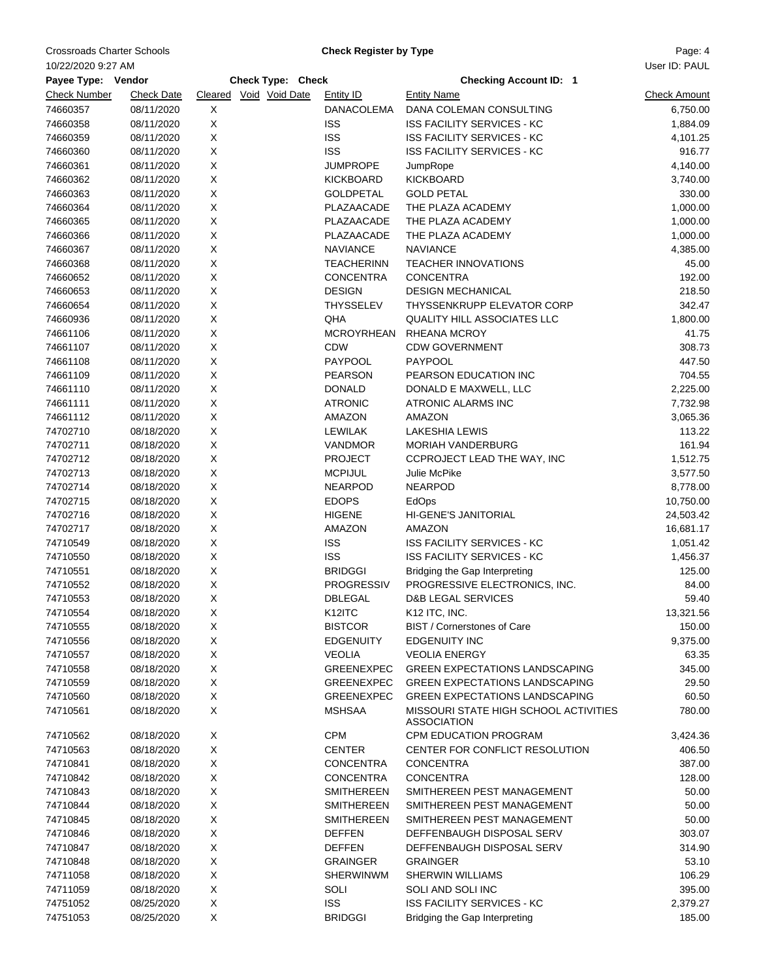Crossroads Charter Schools **Charter Schools** Charter Actual Check Register by Type **Page: 4** Page: 4

**Check Register by Type**

|                     |                   |             |                        |                   | 10/22/2020 9:27 AM                                          |                     |  |  |  |  |  |  |  |
|---------------------|-------------------|-------------|------------------------|-------------------|-------------------------------------------------------------|---------------------|--|--|--|--|--|--|--|
| Payee Type: Vendor  |                   |             | Check Type: Check      |                   | <b>Checking Account ID: 1</b>                               |                     |  |  |  |  |  |  |  |
| <b>Check Number</b> | <b>Check Date</b> |             | Cleared Void Void Date | <b>Entity ID</b>  | <b>Entity Name</b>                                          | <b>Check Amount</b> |  |  |  |  |  |  |  |
| 74660357            | 08/11/2020        | X           |                        | DANACOLEMA        | DANA COLEMAN CONSULTING                                     | 6,750.00            |  |  |  |  |  |  |  |
| 74660358            | 08/11/2020        | X           |                        | <b>ISS</b>        | <b>ISS FACILITY SERVICES - KC</b>                           | 1,884.09            |  |  |  |  |  |  |  |
| 74660359            | 08/11/2020        | X           |                        | <b>ISS</b>        | <b>ISS FACILITY SERVICES - KC</b>                           | 4,101.25            |  |  |  |  |  |  |  |
| 74660360            | 08/11/2020        | X           |                        | <b>ISS</b>        | <b>ISS FACILITY SERVICES - KC</b>                           | 916.77              |  |  |  |  |  |  |  |
| 74660361            | 08/11/2020        | X           |                        | <b>JUMPROPE</b>   | JumpRope                                                    | 4,140.00            |  |  |  |  |  |  |  |
| 74660362            | 08/11/2020        | $\mathsf X$ |                        | <b>KICKBOARD</b>  | <b>KICKBOARD</b>                                            | 3,740.00            |  |  |  |  |  |  |  |
| 74660363            | 08/11/2020        | Χ           |                        | <b>GOLDPETAL</b>  | <b>GOLD PETAL</b>                                           | 330.00              |  |  |  |  |  |  |  |
| 74660364            | 08/11/2020        | X           |                        | PLAZAACADE        | THE PLAZA ACADEMY                                           | 1,000.00            |  |  |  |  |  |  |  |
| 74660365            | 08/11/2020        | $\mathsf X$ |                        | PLAZAACADE        | THE PLAZA ACADEMY                                           | 1,000.00            |  |  |  |  |  |  |  |
| 74660366            | 08/11/2020        | X           |                        | PLAZAACADE        | THE PLAZA ACADEMY                                           | 1,000.00            |  |  |  |  |  |  |  |
| 74660367            | 08/11/2020        | $\mathsf X$ |                        | <b>NAVIANCE</b>   | <b>NAVIANCE</b>                                             | 4,385.00            |  |  |  |  |  |  |  |
| 74660368            | 08/11/2020        | X           |                        | <b>TEACHERINN</b> | <b>TEACHER INNOVATIONS</b>                                  | 45.00               |  |  |  |  |  |  |  |
| 74660652            | 08/11/2020        | X           |                        | <b>CONCENTRA</b>  | <b>CONCENTRA</b>                                            | 192.00              |  |  |  |  |  |  |  |
| 74660653            | 08/11/2020        | X           |                        | <b>DESIGN</b>     | <b>DESIGN MECHANICAL</b>                                    | 218.50              |  |  |  |  |  |  |  |
| 74660654            | 08/11/2020        | X           |                        | <b>THYSSELEV</b>  | THYSSENKRUPP ELEVATOR CORP                                  | 342.47              |  |  |  |  |  |  |  |
| 74660936            | 08/11/2020        | X           |                        | QHA               | QUALITY HILL ASSOCIATES LLC                                 | 1,800.00            |  |  |  |  |  |  |  |
| 74661106            | 08/11/2020        | X           |                        | <b>MCROYRHEAN</b> | <b>RHEANA MCROY</b>                                         | 41.75               |  |  |  |  |  |  |  |
| 74661107            | 08/11/2020        | Χ           |                        | <b>CDW</b>        | <b>CDW GOVERNMENT</b>                                       | 308.73              |  |  |  |  |  |  |  |
| 74661108            | 08/11/2020        | X           |                        | PAYPOOL           | PAYPOOL                                                     | 447.50              |  |  |  |  |  |  |  |
| 74661109            | 08/11/2020        | X           |                        | <b>PEARSON</b>    | PEARSON EDUCATION INC                                       | 704.55              |  |  |  |  |  |  |  |
| 74661110            | 08/11/2020        | X           |                        | <b>DONALD</b>     | DONALD E MAXWELL, LLC                                       | 2,225.00            |  |  |  |  |  |  |  |
| 74661111            | 08/11/2020        | X           |                        | <b>ATRONIC</b>    | ATRONIC ALARMS INC                                          | 7,732.98            |  |  |  |  |  |  |  |
| 74661112            | 08/11/2020        | X           |                        | AMAZON            | AMAZON                                                      | 3,065.36            |  |  |  |  |  |  |  |
| 74702710            | 08/18/2020        | Χ           |                        | LEWILAK           | <b>LAKESHIA LEWIS</b>                                       | 113.22              |  |  |  |  |  |  |  |
| 74702711            | 08/18/2020        | Χ           |                        | VANDMOR           | MORIAH VANDERBURG                                           | 161.94              |  |  |  |  |  |  |  |
| 74702712            | 08/18/2020        | $\mathsf X$ |                        | <b>PROJECT</b>    | CCPROJECT LEAD THE WAY, INC                                 | 1,512.75            |  |  |  |  |  |  |  |
| 74702713            | 08/18/2020        | X           |                        | <b>MCPIJUL</b>    | Julie McPike                                                | 3,577.50            |  |  |  |  |  |  |  |
| 74702714            | 08/18/2020        | $\mathsf X$ |                        | <b>NEARPOD</b>    | <b>NEARPOD</b>                                              | 8,778.00            |  |  |  |  |  |  |  |
| 74702715            | 08/18/2020        | X           |                        | <b>EDOPS</b>      | EdOps                                                       | 10,750.00           |  |  |  |  |  |  |  |
| 74702716            | 08/18/2020        | X           |                        | <b>HIGENE</b>     | <b>HI-GENE'S JANITORIAL</b>                                 | 24,503.42           |  |  |  |  |  |  |  |
| 74702717            | 08/18/2020        | X           |                        | AMAZON            | AMAZON                                                      | 16,681.17           |  |  |  |  |  |  |  |
| 74710549            | 08/18/2020        | X           |                        | <b>ISS</b>        | <b>ISS FACILITY SERVICES - KC</b>                           | 1,051.42            |  |  |  |  |  |  |  |
| 74710550            | 08/18/2020        | Χ           |                        | <b>ISS</b>        | <b>ISS FACILITY SERVICES - KC</b>                           | 1,456.37            |  |  |  |  |  |  |  |
| 74710551            | 08/18/2020        | X           |                        | <b>BRIDGGI</b>    | Bridging the Gap Interpreting                               | 125.00              |  |  |  |  |  |  |  |
| 74710552            | 08/18/2020        | Χ           |                        | <b>PROGRESSIV</b> | PROGRESSIVE ELECTRONICS, INC.                               | 84.00               |  |  |  |  |  |  |  |
| 74710553            | 08/18/2020        | X           |                        | <b>DBLEGAL</b>    | <b>D&amp;B LEGAL SERVICES</b>                               | 59.40               |  |  |  |  |  |  |  |
| 74710554            | 08/18/2020        | X           |                        | K12ITC            | K12 ITC, INC.                                               | 13,321.56           |  |  |  |  |  |  |  |
| 74710555            | 08/18/2020        | X           |                        | <b>BISTCOR</b>    | BIST / Cornerstones of Care                                 | 150.00              |  |  |  |  |  |  |  |
| 74710556            | 08/18/2020        | X           |                        | <b>EDGENUITY</b>  | <b>EDGENUITY INC</b>                                        | 9,375.00            |  |  |  |  |  |  |  |
| 74710557            | 08/18/2020        | X           |                        | <b>VEOLIA</b>     | <b>VEOLIA ENERGY</b>                                        | 63.35               |  |  |  |  |  |  |  |
| 74710558            | 08/18/2020        | X           |                        | <b>GREENEXPEC</b> | <b>GREEN EXPECTATIONS LANDSCAPING</b>                       | 345.00              |  |  |  |  |  |  |  |
| 74710559            | 08/18/2020        | X           |                        | <b>GREENEXPEC</b> | <b>GREEN EXPECTATIONS LANDSCAPING</b>                       | 29.50               |  |  |  |  |  |  |  |
| 74710560            | 08/18/2020        | X           |                        | <b>GREENEXPEC</b> | <b>GREEN EXPECTATIONS LANDSCAPING</b>                       | 60.50               |  |  |  |  |  |  |  |
| 74710561            | 08/18/2020        | X           |                        | <b>MSHSAA</b>     | MISSOURI STATE HIGH SCHOOL ACTIVITIES<br><b>ASSOCIATION</b> | 780.00              |  |  |  |  |  |  |  |
| 74710562            | 08/18/2020        | X           |                        | <b>CPM</b>        | CPM EDUCATION PROGRAM                                       | 3,424.36            |  |  |  |  |  |  |  |
| 74710563            | 08/18/2020        | X           |                        | <b>CENTER</b>     | CENTER FOR CONFLICT RESOLUTION                              | 406.50              |  |  |  |  |  |  |  |
| 74710841            | 08/18/2020        | X           |                        | <b>CONCENTRA</b>  | <b>CONCENTRA</b>                                            | 387.00              |  |  |  |  |  |  |  |
| 74710842            | 08/18/2020        | X           |                        | <b>CONCENTRA</b>  | <b>CONCENTRA</b>                                            | 128.00              |  |  |  |  |  |  |  |
| 74710843            | 08/18/2020        | X           |                        | <b>SMITHEREEN</b> | SMITHEREEN PEST MANAGEMENT                                  | 50.00               |  |  |  |  |  |  |  |
| 74710844            | 08/18/2020        | X           |                        | <b>SMITHEREEN</b> | SMITHEREEN PEST MANAGEMENT                                  | 50.00               |  |  |  |  |  |  |  |
| 74710845            | 08/18/2020        | X           |                        | <b>SMITHEREEN</b> | SMITHEREEN PEST MANAGEMENT                                  | 50.00               |  |  |  |  |  |  |  |
| 74710846            | 08/18/2020        | X           |                        | <b>DEFFEN</b>     | DEFFENBAUGH DISPOSAL SERV                                   | 303.07              |  |  |  |  |  |  |  |
| 74710847            | 08/18/2020        | X           |                        | <b>DEFFEN</b>     | DEFFENBAUGH DISPOSAL SERV                                   | 314.90              |  |  |  |  |  |  |  |
| 74710848            | 08/18/2020        | X           |                        | <b>GRAINGER</b>   | <b>GRAINGER</b>                                             | 53.10               |  |  |  |  |  |  |  |
| 74711058            | 08/18/2020        | X           |                        | <b>SHERWINWM</b>  | <b>SHERWIN WILLIAMS</b>                                     | 106.29              |  |  |  |  |  |  |  |
| 74711059            | 08/18/2020        | X           |                        | SOLI              | SOLI AND SOLI INC                                           | 395.00              |  |  |  |  |  |  |  |
| 74751052            | 08/25/2020        | $\mathsf X$ |                        | <b>ISS</b>        | <b>ISS FACILITY SERVICES - KC</b>                           | 2,379.27            |  |  |  |  |  |  |  |
| 74751053            | 08/25/2020        | X           |                        | <b>BRIDGGI</b>    | Bridging the Gap Interpreting                               | 185.00              |  |  |  |  |  |  |  |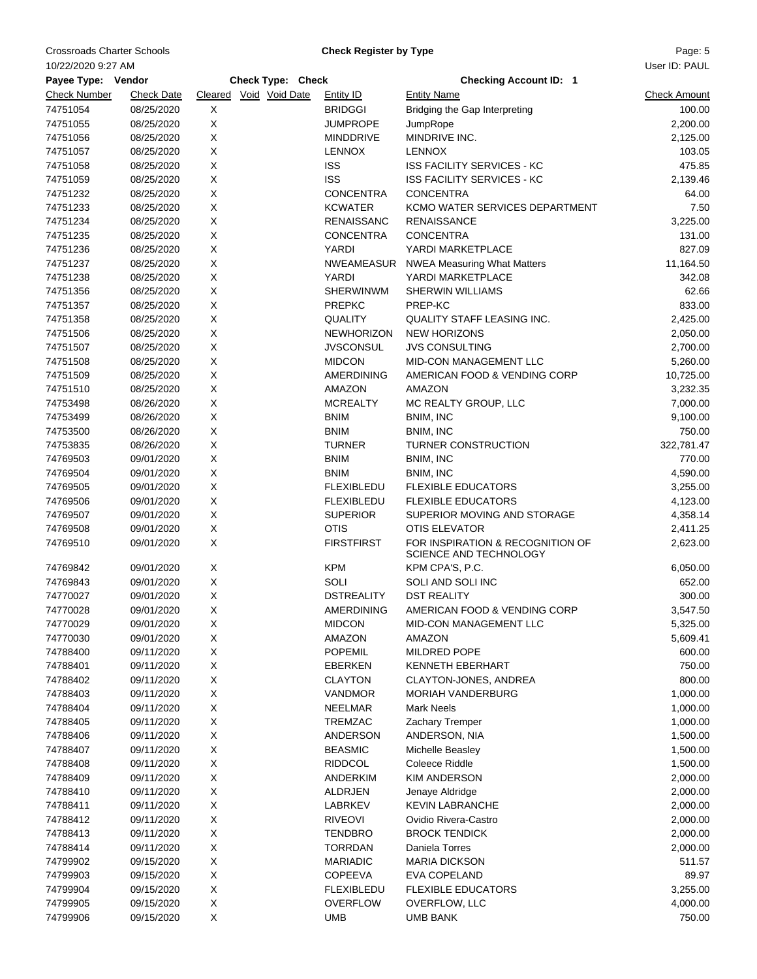Crossroads Charter Schools **Charter Schools** Charter Actual Check Register by Type **Page: 5** Page: 5

10/22/2020 9:27 AM

**Check Register by Type**

| Payee Type: Vendor   |                   |   | Check Type: Check      |                   | <b>Checking Account ID: 1</b>                              |                     |
|----------------------|-------------------|---|------------------------|-------------------|------------------------------------------------------------|---------------------|
| <b>Check Number</b>  | <b>Check Date</b> |   | Cleared Void Void Date | <b>Entity ID</b>  | <b>Entity Name</b>                                         | <b>Check Amount</b> |
| 74751054             | 08/25/2020        | X |                        | <b>BRIDGGI</b>    | Bridging the Gap Interpreting                              | 100.00              |
| 74751055             | 08/25/2020        | X |                        | <b>JUMPROPE</b>   | JumpRope                                                   | 2,200.00            |
| 74751056             | 08/25/2020        | X |                        | <b>MINDDRIVE</b>  | MINDRIVE INC.                                              | 2,125.00            |
| 74751057             | 08/25/2020        | X |                        | <b>LENNOX</b>     | <b>LENNOX</b>                                              | 103.05              |
| 74751058             | 08/25/2020        | X |                        | <b>ISS</b>        | <b>ISS FACILITY SERVICES - KC</b>                          | 475.85              |
| 74751059             | 08/25/2020        | X |                        | <b>ISS</b>        | ISS FACILITY SERVICES - KC                                 | 2,139.46            |
| 74751232             | 08/25/2020        | X |                        | <b>CONCENTRA</b>  | <b>CONCENTRA</b>                                           | 64.00               |
| 74751233             | 08/25/2020        | X |                        | <b>KCWATER</b>    | KCMO WATER SERVICES DEPARTMENT                             | 7.50                |
| 74751234             | 08/25/2020        | X |                        | <b>RENAISSANC</b> | <b>RENAISSANCE</b>                                         | 3,225.00            |
| 74751235             | 08/25/2020        | X |                        | <b>CONCENTRA</b>  | <b>CONCENTRA</b>                                           | 131.00              |
| 74751236             | 08/25/2020        | X |                        | YARDI             | YARDI MARKETPLACE                                          | 827.09              |
| 74751237             | 08/25/2020        | X |                        | NWEAMEASUR        | <b>NWEA Measuring What Matters</b>                         | 11,164.50           |
| 74751238             | 08/25/2020        | X |                        | YARDI             | YARDI MARKETPLACE                                          | 342.08              |
| 74751356             | 08/25/2020        | X |                        | <b>SHERWINWM</b>  | <b>SHERWIN WILLIAMS</b>                                    | 62.66               |
| 74751357             | 08/25/2020        | X |                        | <b>PREPKC</b>     | PREP-KC                                                    | 833.00              |
| 74751358             | 08/25/2020        | X |                        | <b>QUALITY</b>    | QUALITY STAFF LEASING INC.                                 | 2,425.00            |
| 74751506             | 08/25/2020        | X |                        | <b>NEWHORIZON</b> | <b>NEW HORIZONS</b>                                        | 2,050.00            |
| 74751507             | 08/25/2020        | X |                        | <b>JVSCONSUL</b>  | <b>JVS CONSULTING</b>                                      | 2,700.00            |
| 74751508             | 08/25/2020        | X |                        | <b>MIDCON</b>     | MID-CON MANAGEMENT LLC                                     | 5,260.00            |
| 74751509             | 08/25/2020        | X |                        | <b>AMERDINING</b> | AMERICAN FOOD & VENDING CORP                               | 10,725.00           |
| 74751510             | 08/25/2020        | X |                        | AMAZON            | <b>AMAZON</b>                                              | 3,232.35            |
| 74753498             | 08/26/2020        | X |                        | <b>MCREALTY</b>   | MC REALTY GROUP, LLC                                       | 7,000.00            |
|                      | 08/26/2020        | X |                        | <b>BNIM</b>       |                                                            |                     |
| 74753499<br>74753500 |                   | X |                        |                   | BNIM, INC                                                  | 9,100.00            |
|                      | 08/26/2020        |   |                        | <b>BNIM</b>       | BNIM, INC                                                  | 750.00              |
| 74753835             | 08/26/2020        | X |                        | <b>TURNER</b>     | TURNER CONSTRUCTION                                        | 322,781.47          |
| 74769503             | 09/01/2020        | X |                        | <b>BNIM</b>       | BNIM, INC                                                  | 770.00              |
| 74769504             | 09/01/2020        | X |                        | <b>BNIM</b>       | BNIM, INC                                                  | 4,590.00            |
| 74769505             | 09/01/2020        | X |                        | <b>FLEXIBLEDU</b> | <b>FLEXIBLE EDUCATORS</b>                                  | 3,255.00            |
| 74769506             | 09/01/2020        | X |                        | <b>FLEXIBLEDU</b> | <b>FLEXIBLE EDUCATORS</b>                                  | 4,123.00            |
| 74769507             | 09/01/2020        | X |                        | <b>SUPERIOR</b>   | SUPERIOR MOVING AND STORAGE                                | 4,358.14            |
| 74769508             | 09/01/2020        | X |                        | <b>OTIS</b>       | OTIS ELEVATOR                                              | 2,411.25            |
| 74769510             | 09/01/2020        | X |                        | <b>FIRSTFIRST</b> | FOR INSPIRATION & RECOGNITION OF<br>SCIENCE AND TECHNOLOGY | 2,623.00            |
| 74769842             | 09/01/2020        | X |                        | <b>KPM</b>        | KPM CPA'S, P.C.                                            | 6,050.00            |
| 74769843             | 09/01/2020        | X |                        | SOLI              | SOLI AND SOLI INC                                          | 652.00              |
| 74770027             | 09/01/2020        | X |                        | <b>DSTREALITY</b> | <b>DST REALITY</b>                                         | 300.00              |
| 74770028             | 09/01/2020        | X |                        | AMERDINING        | AMERICAN FOOD & VENDING CORP                               | 3,547.50            |
| 74770029             | 09/01/2020        | х |                        | <b>MIDCON</b>     | MID-CON MANAGEMENT LLC                                     | 5,325.00            |
| 74770030             | 09/01/2020        | х |                        | AMAZON            | AMAZON                                                     | 5,609.41            |
| 74788400             | 09/11/2020        | X |                        | <b>POPEMIL</b>    | MILDRED POPE                                               | 600.00              |
| 74788401             | 09/11/2020        | Χ |                        | EBERKEN           | <b>KENNETH EBERHART</b>                                    | 750.00              |
| 74788402             | 09/11/2020        | X |                        | <b>CLAYTON</b>    | CLAYTON-JONES, ANDREA                                      | 800.00              |
| 74788403             | 09/11/2020        | X |                        | <b>VANDMOR</b>    | <b>MORIAH VANDERBURG</b>                                   | 1,000.00            |
| 74788404             | 09/11/2020        | X |                        | <b>NEELMAR</b>    | <b>Mark Neels</b>                                          | 1,000.00            |
| 74788405             | 09/11/2020        | X |                        | <b>TREMZAC</b>    | Zachary Tremper                                            | 1,000.00            |
| 74788406             | 09/11/2020        | X |                        | ANDERSON          | ANDERSON, NIA                                              | 1,500.00            |
| 74788407             | 09/11/2020        | X |                        | <b>BEASMIC</b>    | Michelle Beasley                                           | 1,500.00            |
| 74788408             | 09/11/2020        | X |                        | <b>RIDDCOL</b>    | Coleece Riddle                                             | 1,500.00            |
| 74788409             | 09/11/2020        | X |                        | <b>ANDERKIM</b>   | <b>KIM ANDERSON</b>                                        | 2,000.00            |
| 74788410             | 09/11/2020        | Χ |                        | ALDRJEN           | Jenaye Aldridge                                            | 2,000.00            |
| 74788411             | 09/11/2020        | X |                        | LABRKEV           | <b>KEVIN LABRANCHE</b>                                     | 2,000.00            |
| 74788412             | 09/11/2020        | X |                        | <b>RIVEOVI</b>    | Ovidio Rivera-Castro                                       | 2,000.00            |
| 74788413             | 09/11/2020        | X |                        | <b>TENDBRO</b>    | <b>BROCK TENDICK</b>                                       | 2,000.00            |
| 74788414             | 09/11/2020        | X |                        | <b>TORRDAN</b>    | Daniela Torres                                             | 2,000.00            |
| 74799902             | 09/15/2020        | X |                        | <b>MARIADIC</b>   | <b>MARIA DICKSON</b>                                       | 511.57              |
| 74799903             | 09/15/2020        | X |                        | <b>COPEEVA</b>    | <b>EVA COPELAND</b>                                        | 89.97               |
| 74799904             | 09/15/2020        | Χ |                        | <b>FLEXIBLEDU</b> | <b>FLEXIBLE EDUCATORS</b>                                  | 3,255.00            |
| 74799905             | 09/15/2020        | X |                        | <b>OVERFLOW</b>   | OVERFLOW, LLC                                              | 4,000.00            |
| 74799906             | 09/15/2020        | X |                        | <b>UMB</b>        | <b>UMB BANK</b>                                            | 750.00              |
|                      |                   |   |                        |                   |                                                            |                     |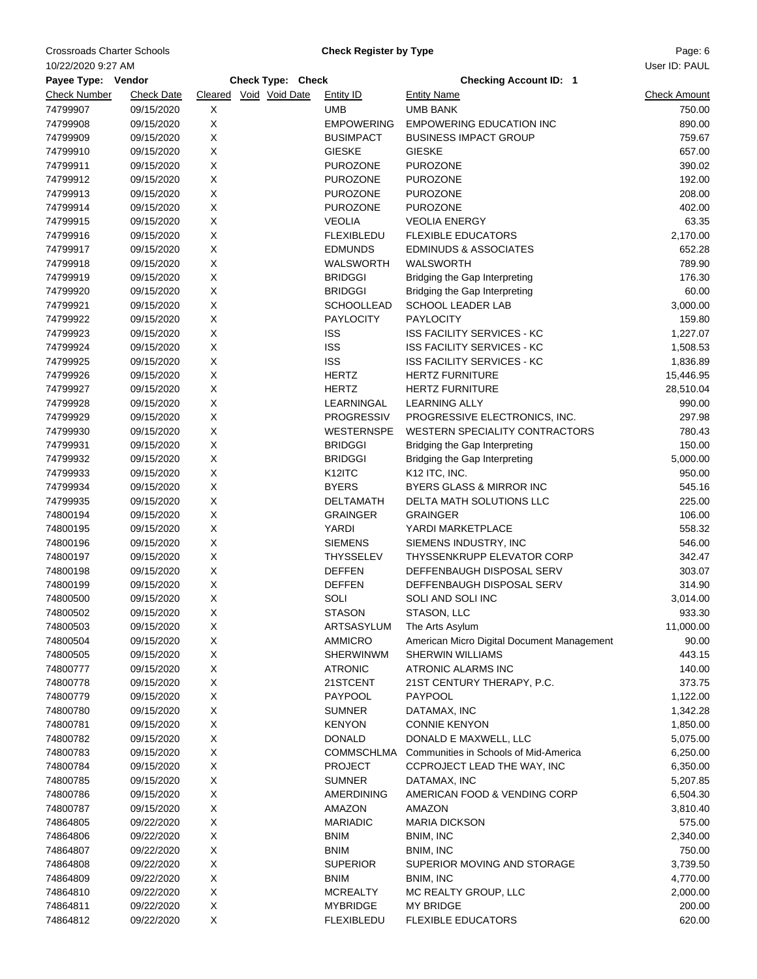Crossroads Charter Schools **Charter Schools** Charter Actual Check Register by Type **Page: 6** Page: 6

**Check Register by Type**

| 10/22/2020 9:27 AM |                   |             |                        |                                        |                                                                 | User ID: PAUL       |
|--------------------|-------------------|-------------|------------------------|----------------------------------------|-----------------------------------------------------------------|---------------------|
| Payee Type: Vendor |                   |             | Check Type: Check      |                                        | <b>Checking Account ID: 1</b>                                   |                     |
| Check Number       | <b>Check Date</b> |             | Cleared Void Void Date | <b>Entity ID</b>                       | <b>Entity Name</b>                                              | <b>Check Amount</b> |
| 74799907           | 09/15/2020        | X           |                        | <b>UMB</b>                             | <b>UMB BANK</b>                                                 | 750.00              |
| 74799908           | 09/15/2020        | X           |                        | <b>EMPOWERING</b>                      | <b>EMPOWERING EDUCATION INC</b>                                 | 890.00              |
| 74799909           | 09/15/2020        | X           |                        | <b>BUSIMPACT</b>                       | <b>BUSINESS IMPACT GROUP</b>                                    | 759.67              |
| 74799910           | 09/15/2020        | X           |                        | <b>GIESKE</b>                          | <b>GIESKE</b>                                                   | 657.00              |
| 74799911           | 09/15/2020        | X           |                        | <b>PUROZONE</b>                        | <b>PUROZONE</b>                                                 | 390.02              |
| 74799912           | 09/15/2020        | X           |                        | <b>PUROZONE</b>                        | <b>PUROZONE</b>                                                 | 192.00              |
| 74799913           | 09/15/2020        | Χ           |                        | <b>PUROZONE</b>                        | <b>PUROZONE</b>                                                 | 208.00              |
| 74799914           | 09/15/2020        | X           |                        | <b>PUROZONE</b>                        | <b>PUROZONE</b>                                                 | 402.00              |
| 74799915           | 09/15/2020        | Χ           |                        | <b>VEOLIA</b>                          | <b>VEOLIA ENERGY</b>                                            | 63.35               |
| 74799916           | 09/15/2020        | X           |                        | <b>FLEXIBLEDU</b>                      | <b>FLEXIBLE EDUCATORS</b>                                       | 2,170.00            |
| 74799917           | 09/15/2020        | $\mathsf X$ |                        | <b>EDMUNDS</b>                         | <b>EDMINUDS &amp; ASSOCIATES</b>                                | 652.28              |
| 74799918           | 09/15/2020        | X           |                        | <b>WALSWORTH</b>                       | <b>WALSWORTH</b>                                                | 789.90              |
| 74799919           | 09/15/2020        | X           |                        | <b>BRIDGGI</b>                         | Bridging the Gap Interpreting                                   | 176.30              |
| 74799920           | 09/15/2020        | X           |                        | <b>BRIDGGI</b>                         | Bridging the Gap Interpreting                                   | 60.00               |
| 74799921           | 09/15/2020        | X           |                        | <b>SCHOOLLEAD</b>                      | <b>SCHOOL LEADER LAB</b>                                        | 3,000.00            |
| 74799922           | 09/15/2020        | X           |                        | <b>PAYLOCITY</b>                       | <b>PAYLOCITY</b>                                                | 159.80              |
| 74799923           | 09/15/2020        | X           |                        | <b>ISS</b>                             | <b>ISS FACILITY SERVICES - KC</b>                               | 1,227.07            |
| 74799924           | 09/15/2020        | Χ           |                        | <b>ISS</b>                             | ISS FACILITY SERVICES - KC                                      | 1,508.53            |
| 74799925           | 09/15/2020        | X           |                        | <b>ISS</b>                             | <b>ISS FACILITY SERVICES - KC</b>                               | 1,836.89            |
| 74799926           | 09/15/2020        | X           |                        | <b>HERTZ</b>                           | <b>HERTZ FURNITURE</b>                                          | 15,446.95           |
| 74799927           | 09/15/2020        | X           |                        | <b>HERTZ</b>                           | <b>HERTZ FURNITURE</b>                                          |                     |
|                    | 09/15/2020        |             |                        |                                        | <b>LEARNING ALLY</b>                                            | 28,510.04           |
| 74799928           | 09/15/2020        | X<br>X      |                        | LEARNINGAL                             |                                                                 | 990.00              |
| 74799929           |                   | Χ           |                        | <b>PROGRESSIV</b><br><b>WESTERNSPE</b> | PROGRESSIVE ELECTRONICS, INC.<br>WESTERN SPECIALITY CONTRACTORS | 297.98              |
| 74799930           | 09/15/2020        | X           |                        |                                        |                                                                 | 780.43              |
| 74799931           | 09/15/2020        |             |                        | <b>BRIDGGI</b>                         | Bridging the Gap Interpreting                                   | 150.00              |
| 74799932           | 09/15/2020        | Χ           |                        | <b>BRIDGGI</b>                         | Bridging the Gap Interpreting                                   | 5,000.00            |
| 74799933           | 09/15/2020        | X<br>X      |                        | K <sub>12</sub> ITC<br><b>BYERS</b>    | K <sub>12</sub> ITC, INC.                                       | 950.00              |
| 74799934           | 09/15/2020        |             |                        |                                        | BYERS GLASS & MIRROR INC                                        | 545.16              |
| 74799935           | 09/15/2020        | X           |                        | <b>DELTAMATH</b>                       | DELTA MATH SOLUTIONS LLC                                        | 225.00              |
| 74800194           | 09/15/2020        | X           |                        | <b>GRAINGER</b>                        | <b>GRAINGER</b>                                                 | 106.00              |
| 74800195           | 09/15/2020        | X           |                        | YARDI                                  | YARDI MARKETPLACE                                               | 558.32              |
| 74800196           | 09/15/2020        | X           |                        | <b>SIEMENS</b>                         | SIEMENS INDUSTRY, INC                                           | 546.00              |
| 74800197           | 09/15/2020        | Χ           |                        | THYSSELEV                              | THYSSENKRUPP ELEVATOR CORP                                      | 342.47              |
| 74800198           | 09/15/2020        | X           |                        | <b>DEFFEN</b>                          | DEFFENBAUGH DISPOSAL SERV                                       | 303.07              |
| 74800199           | 09/15/2020        | Χ           |                        | <b>DEFFEN</b>                          | DEFFENBAUGH DISPOSAL SERV                                       | 314.90              |
| 74800500           | 09/15/2020        | X           |                        | SOLI                                   | SOLI AND SOLI INC                                               | 3,014.00            |
| 74800502           | 09/15/2020        | X           |                        | <b>STASON</b>                          | STASON, LLC                                                     | 933.30              |
| 74800503           | 09/15/2020        | Х           |                        | ARTSASYLUM                             | The Arts Asylum                                                 | 11,000.00           |
| 74800504           | 09/15/2020        | X           |                        | <b>AMMICRO</b>                         | American Micro Digital Document Management                      | 90.00               |
| 74800505           | 09/15/2020        | X           |                        | <b>SHERWINWM</b>                       | <b>SHERWIN WILLIAMS</b>                                         | 443.15              |
| 74800777           | 09/15/2020        | X           |                        | <b>ATRONIC</b>                         | ATRONIC ALARMS INC                                              | 140.00              |
| 74800778           | 09/15/2020        | X           |                        | 21STCENT                               | 21ST CENTURY THERAPY, P.C.                                      | 373.75              |
| 74800779           | 09/15/2020        | X           |                        | <b>PAYPOOL</b>                         | PAYPOOL                                                         | 1,122.00            |
| 74800780           | 09/15/2020        | X           |                        | <b>SUMNER</b>                          | DATAMAX, INC                                                    | 1,342.28            |
| 74800781           | 09/15/2020        | X           |                        | <b>KENYON</b>                          | <b>CONNIE KENYON</b>                                            | 1,850.00            |
| 74800782           | 09/15/2020        | X           |                        | <b>DONALD</b>                          | DONALD E MAXWELL, LLC                                           | 5,075.00            |
| 74800783           | 09/15/2020        | X           |                        | COMMSCHLMA                             | Communities in Schools of Mid-America                           | 6,250.00            |
| 74800784           | 09/15/2020        | X           |                        | <b>PROJECT</b>                         | CCPROJECT LEAD THE WAY, INC                                     | 6,350.00            |
| 74800785           | 09/15/2020        | X           |                        | <b>SUMNER</b>                          | DATAMAX, INC                                                    | 5,207.85            |
| 74800786           | 09/15/2020        | X           |                        | AMERDINING                             | AMERICAN FOOD & VENDING CORP                                    | 6,504.30            |
| 74800787           | 09/15/2020        | X           |                        | AMAZON                                 | AMAZON                                                          | 3,810.40            |
| 74864805           | 09/22/2020        | X           |                        | <b>MARIADIC</b>                        | <b>MARIA DICKSON</b>                                            | 575.00              |
| 74864806           | 09/22/2020        | X           |                        | <b>BNIM</b>                            | BNIM, INC                                                       | 2,340.00            |
| 74864807           | 09/22/2020        | X           |                        | <b>BNIM</b>                            | BNIM, INC                                                       | 750.00              |
| 74864808           | 09/22/2020        | X           |                        | <b>SUPERIOR</b>                        | SUPERIOR MOVING AND STORAGE                                     | 3,739.50            |
| 74864809           | 09/22/2020        | X           |                        | <b>BNIM</b>                            | BNIM, INC                                                       | 4,770.00            |
| 74864810           | 09/22/2020        | X           |                        | <b>MCREALTY</b>                        | MC REALTY GROUP, LLC                                            | 2,000.00            |
| 74864811           | 09/22/2020        | X           |                        | <b>MYBRIDGE</b>                        | <b>MY BRIDGE</b>                                                | 200.00              |
| 74864812           | 09/22/2020        | X           |                        | <b>FLEXIBLEDU</b>                      | <b>FLEXIBLE EDUCATORS</b>                                       | 620.00              |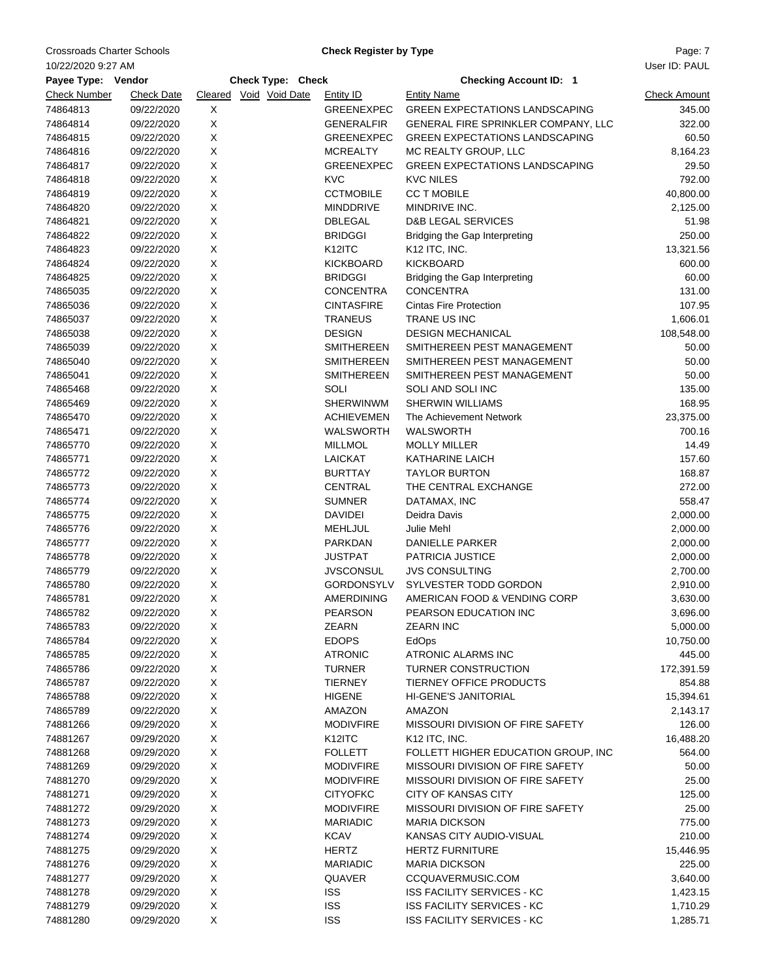Crossroads Charter Schools **Charter Schools** Charter Actual Check Register by Type **Page: 7** Page: 7

**Check Register by Type**

| User ID: PAUL<br>10/22/2020 9:27 AM |                   |   |                        |                               |                                       |                     |  |  |  |
|-------------------------------------|-------------------|---|------------------------|-------------------------------|---------------------------------------|---------------------|--|--|--|
| Payee Type: Vendor                  |                   |   | Check Type: Check      | <b>Checking Account ID: 1</b> |                                       |                     |  |  |  |
| <b>Check Number</b>                 | <b>Check Date</b> |   | Cleared Void Void Date | <b>Entity ID</b>              | <b>Entity Name</b>                    | <b>Check Amount</b> |  |  |  |
| 74864813                            | 09/22/2020        | X |                        | GREENEXPEC                    | <b>GREEN EXPECTATIONS LANDSCAPING</b> | 345.00              |  |  |  |
| 74864814                            | 09/22/2020        | Χ |                        | <b>GENERALFIR</b>             | GENERAL FIRE SPRINKLER COMPANY, LLC   | 322.00              |  |  |  |
| 74864815                            | 09/22/2020        | X |                        | <b>GREENEXPEC</b>             | <b>GREEN EXPECTATIONS LANDSCAPING</b> | 60.50               |  |  |  |
| 74864816                            | 09/22/2020        | X |                        | <b>MCREALTY</b>               | MC REALTY GROUP, LLC                  | 8,164.23            |  |  |  |
| 74864817                            | 09/22/2020        | X |                        | <b>GREENEXPEC</b>             | <b>GREEN EXPECTATIONS LANDSCAPING</b> | 29.50               |  |  |  |
| 74864818                            | 09/22/2020        | X |                        | <b>KVC</b>                    | <b>KVC NILES</b>                      | 792.00              |  |  |  |
| 74864819                            | 09/22/2020        | X |                        | <b>CCTMOBILE</b>              | <b>CC T MOBILE</b>                    | 40,800.00           |  |  |  |
| 74864820                            | 09/22/2020        | X |                        | <b>MINDDRIVE</b>              | MINDRIVE INC.                         | 2,125.00            |  |  |  |
|                                     |                   | Χ |                        | <b>DBLEGAL</b>                | <b>D&amp;B LEGAL SERVICES</b>         | 51.98               |  |  |  |
| 74864821                            | 09/22/2020        | X |                        | <b>BRIDGGI</b>                |                                       |                     |  |  |  |
| 74864822                            | 09/22/2020        |   |                        |                               | Bridging the Gap Interpreting         | 250.00              |  |  |  |
| 74864823                            | 09/22/2020        | Χ |                        | K12ITC                        | K12 ITC, INC.                         | 13,321.56           |  |  |  |
| 74864824                            | 09/22/2020        | X |                        | <b>KICKBOARD</b>              | <b>KICKBOARD</b>                      | 600.00              |  |  |  |
| 74864825                            | 09/22/2020        | X |                        | <b>BRIDGGI</b>                | Bridging the Gap Interpreting         | 60.00               |  |  |  |
| 74865035                            | 09/22/2020        | X |                        | <b>CONCENTRA</b>              | <b>CONCENTRA</b>                      | 131.00              |  |  |  |
| 74865036                            | 09/22/2020        | X |                        | <b>CINTASFIRE</b>             | <b>Cintas Fire Protection</b>         | 107.95              |  |  |  |
| 74865037                            | 09/22/2020        | X |                        | <b>TRANEUS</b>                | TRANE US INC                          | 1,606.01            |  |  |  |
| 74865038                            | 09/22/2020        | X |                        | <b>DESIGN</b>                 | <b>DESIGN MECHANICAL</b>              | 108,548.00          |  |  |  |
| 74865039                            | 09/22/2020        | Χ |                        | <b>SMITHEREEN</b>             | SMITHEREEN PEST MANAGEMENT            | 50.00               |  |  |  |
| 74865040                            | 09/22/2020        | X |                        | <b>SMITHEREEN</b>             | SMITHEREEN PEST MANAGEMENT            | 50.00               |  |  |  |
| 74865041                            | 09/22/2020        | X |                        | <b>SMITHEREEN</b>             | SMITHEREEN PEST MANAGEMENT            | 50.00               |  |  |  |
| 74865468                            | 09/22/2020        | X |                        | SOLI                          | SOLI AND SOLI INC                     | 135.00              |  |  |  |
| 74865469                            | 09/22/2020        | X |                        | <b>SHERWINWM</b>              | <b>SHERWIN WILLIAMS</b>               | 168.95              |  |  |  |
| 74865470                            | 09/22/2020        | X |                        | <b>ACHIEVEMEN</b>             | The Achievement Network               | 23,375.00           |  |  |  |
| 74865471                            | 09/22/2020        | X |                        | WALSWORTH                     | WALSWORTH                             | 700.16              |  |  |  |
| 74865770                            | 09/22/2020        | X |                        | <b>MILLMOL</b>                | <b>MOLLY MILLER</b>                   | 14.49               |  |  |  |
| 74865771                            | 09/22/2020        | Χ |                        | LAICKAT                       | <b>KATHARINE LAICH</b>                | 157.60              |  |  |  |
| 74865772                            | 09/22/2020        | Χ |                        | <b>BURTTAY</b>                | <b>TAYLOR BURTON</b>                  | 168.87              |  |  |  |
| 74865773                            | 09/22/2020        | Χ |                        | CENTRAL                       | THE CENTRAL EXCHANGE                  | 272.00              |  |  |  |
| 74865774                            | 09/22/2020        | X |                        | <b>SUMNER</b>                 | DATAMAX, INC                          | 558.47              |  |  |  |
| 74865775                            | 09/22/2020        | X |                        | <b>DAVIDEI</b>                | Deidra Davis                          | 2,000.00            |  |  |  |
| 74865776                            | 09/22/2020        | X |                        | MEHLJUL                       | Julie Mehl                            | 2,000.00            |  |  |  |
| 74865777                            | 09/22/2020        | X |                        | PARKDAN                       | DANIELLE PARKER                       | 2,000.00            |  |  |  |
| 74865778                            | 09/22/2020        | X |                        | <b>JUSTPAT</b>                | PATRICIA JUSTICE                      | 2,000.00            |  |  |  |
| 74865779                            | 09/22/2020        | Χ |                        | <b>JVSCONSUL</b>              | <b>JVS CONSULTING</b>                 | 2,700.00            |  |  |  |
| 74865780                            | 09/22/2020        | Χ |                        | <b>GORDONSYLV</b>             | SYLVESTER TODD GORDON                 | 2,910.00            |  |  |  |
| 74865781                            | 09/22/2020        | X |                        | <b>AMERDINING</b>             | AMERICAN FOOD & VENDING CORP          | 3,630.00            |  |  |  |
| 74865782                            | 09/22/2020        | X |                        | <b>PEARSON</b>                | PEARSON EDUCATION INC                 | 3,696.00            |  |  |  |
| 74865783                            | 09/22/2020        | х |                        | ZEARN                         | ZEARN INC                             | 5,000.00            |  |  |  |
| 74865784                            | 09/22/2020        | X |                        | <b>EDOPS</b>                  | EdOps                                 | 10,750.00           |  |  |  |
| 74865785                            | 09/22/2020        | X |                        | <b>ATRONIC</b>                | ATRONIC ALARMS INC                    | 445.00              |  |  |  |
| 74865786                            | 09/22/2020        | X |                        | <b>TURNER</b>                 | TURNER CONSTRUCTION                   | 172,391.59          |  |  |  |
| 74865787                            | 09/22/2020        | Χ |                        | <b>TIERNEY</b>                | <b>TIERNEY OFFICE PRODUCTS</b>        | 854.88              |  |  |  |
| 74865788                            | 09/22/2020        | Χ |                        | <b>HIGENE</b>                 | <b>HI-GENE'S JANITORIAL</b>           | 15,394.61           |  |  |  |
| 74865789                            | 09/22/2020        | Χ |                        | AMAZON                        | AMAZON                                | 2,143.17            |  |  |  |
| 74881266                            |                   | X |                        | <b>MODIVFIRE</b>              | MISSOURI DIVISION OF FIRE SAFETY      | 126.00              |  |  |  |
|                                     | 09/29/2020        |   |                        |                               | K12 ITC, INC.                         |                     |  |  |  |
| 74881267                            | 09/29/2020        | X |                        | K <sub>12</sub> ITC           |                                       | 16,488.20           |  |  |  |
| 74881268                            | 09/29/2020        | X |                        | <b>FOLLETT</b>                | FOLLETT HIGHER EDUCATION GROUP, INC   | 564.00              |  |  |  |
| 74881269                            | 09/29/2020        | X |                        | <b>MODIVFIRE</b>              | MISSOURI DIVISION OF FIRE SAFETY      | 50.00               |  |  |  |
| 74881270                            | 09/29/2020        | X |                        | <b>MODIVFIRE</b>              | MISSOURI DIVISION OF FIRE SAFETY      | 25.00               |  |  |  |
| 74881271                            | 09/29/2020        | Χ |                        | <b>CITYOFKC</b>               | <b>CITY OF KANSAS CITY</b>            | 125.00              |  |  |  |
| 74881272                            | 09/29/2020        | Χ |                        | <b>MODIVFIRE</b>              | MISSOURI DIVISION OF FIRE SAFETY      | 25.00               |  |  |  |
| 74881273                            | 09/29/2020        | Χ |                        | <b>MARIADIC</b>               | <b>MARIA DICKSON</b>                  | 775.00              |  |  |  |
| 74881274                            | 09/29/2020        | Χ |                        | <b>KCAV</b>                   | KANSAS CITY AUDIO-VISUAL              | 210.00              |  |  |  |
| 74881275                            | 09/29/2020        | X |                        | <b>HERTZ</b>                  | <b>HERTZ FURNITURE</b>                | 15,446.95           |  |  |  |
| 74881276                            | 09/29/2020        | X |                        | <b>MARIADIC</b>               | <b>MARIA DICKSON</b>                  | 225.00              |  |  |  |
| 74881277                            | 09/29/2020        | X |                        | QUAVER                        | CCQUAVERMUSIC.COM                     | 3,640.00            |  |  |  |
| 74881278                            | 09/29/2020        | X |                        | <b>ISS</b>                    | ISS FACILITY SERVICES - KC            | 1,423.15            |  |  |  |
| 74881279                            | 09/29/2020        | X |                        | <b>ISS</b>                    | <b>ISS FACILITY SERVICES - KC</b>     | 1,710.29            |  |  |  |
| 74881280                            | 09/29/2020        | X |                        | <b>ISS</b>                    | ISS FACILITY SERVICES - KC            | 1,285.71            |  |  |  |